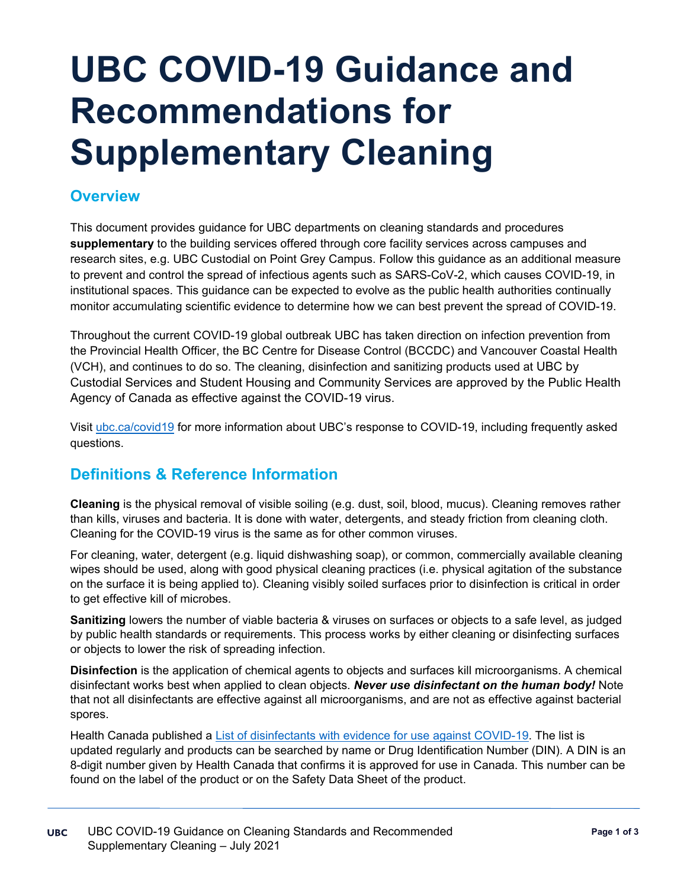# **UBC COVID-19 Guidance and Recommendations for Supplementary Cleaning**

## **Overview**

This document provides guidance for UBC departments on cleaning standards and procedures **supplementary** to the building services offered through core facility services across campuses and research sites, e.g. UBC Custodial on Point Grey Campus. Follow this guidance as an additional measure to prevent and control the spread of infectious agents such as SARS-CoV-2, which causes COVID-19, in institutional spaces. This guidance can be expected to evolve as the public health authorities continually monitor accumulating scientific evidence to determine how we can best prevent the spread of COVID-19.

Throughout the current COVID-19 global outbreak UBC has taken direction on infection prevention from the Provincial Health Officer, the BC Centre for Disease Control (BCCDC) and Vancouver Coastal Health (VCH), and continues to do so. The cleaning, disinfection and sanitizing products used at UBC by Custodial Services and Student Housing and Community Services are approved by the Public Health Agency of Canada as effective against the COVID-19 virus.

Visit [ubc.ca/covid19](http://www.ubc.ca/covid19) for more information about UBC's response to COVID-19, including frequently asked questions.

## **Definitions & Reference Information**

**Cleaning** is the physical removal of visible soiling (e.g. dust, soil, blood, mucus). Cleaning removes rather than kills, viruses and bacteria. It is done with water, detergents, and steady friction from cleaning cloth. Cleaning for the COVID-19 virus is the same as for other common viruses.

For cleaning, water, detergent (e.g. liquid dishwashing soap), or common, commercially available cleaning wipes should be used, along with good physical cleaning practices (i.e. physical agitation of the substance on the surface it is being applied to). Cleaning visibly soiled surfaces prior to disinfection is critical in order to get effective kill of microbes.

**Sanitizing** lowers the number of viable bacteria & viruses on surfaces or objects to a safe level, as judged by public health standards or requirements. This process works by either cleaning or disinfecting surfaces or objects to lower the risk of spreading infection.

**Disinfection** is the application of chemical agents to objects and surfaces kill microorganisms. A chemical disinfectant works best when applied to clean objects. *Never use disinfectant on the human body!* Note that not all disinfectants are effective against all microorganisms, and are not as effective against bacterial spores.

Health Canada published a [List of disinfectants with evidence for use against COVID-19.](https://www.canada.ca/en/health-canada/services/drugs-health-products/disinfectants/covid-19/list.html) The list is updated regularly and products can be searched by name or Drug Identification Number (DIN). A DIN is an 8-digit number given by Health Canada that confirms it is approved for use in Canada. This number can be found on the label of the product or on the Safety Data Sheet of the product.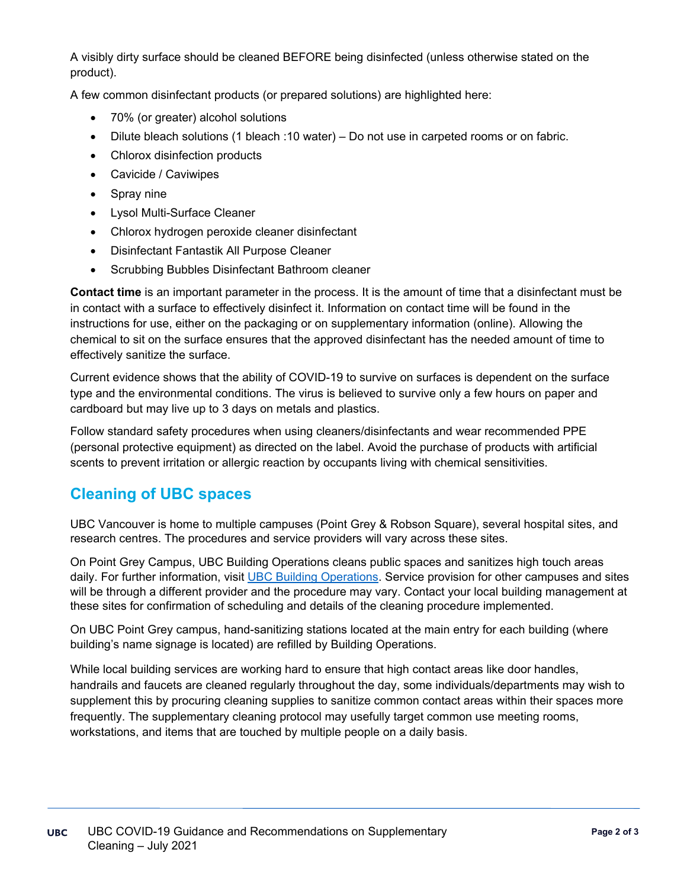A visibly dirty surface should be cleaned BEFORE being disinfected (unless otherwise stated on the product).

A few common disinfectant products (or prepared solutions) are highlighted here:

- 70% (or greater) alcohol solutions
- Dilute bleach solutions (1 bleach : 10 water) Do not use in carpeted rooms or on fabric.
- Chlorox disinfection products
- Cavicide / Caviwipes
- Spray nine
- Lysol Multi-Surface Cleaner
- Chlorox hydrogen peroxide cleaner disinfectant
- Disinfectant Fantastik All Purpose Cleaner
- Scrubbing Bubbles Disinfectant Bathroom cleaner

**Contact time** is an important parameter in the process. It is the amount of time that a disinfectant must be in contact with a surface to effectively disinfect it. Information on contact time will be found in the instructions for use, either on the packaging or on supplementary information (online). Allowing the chemical to sit on the surface ensures that the approved disinfectant has the needed amount of time to effectively sanitize the surface.

Current evidence shows that the ability of COVID-19 to survive on surfaces is dependent on the surface type and the environmental conditions. The virus is believed to survive only a few hours on paper and cardboard but may live up to 3 days on metals and plastics.

Follow standard safety procedures when using cleaners/disinfectants and wear recommended PPE (personal protective equipment) as directed on the label. Avoid the purchase of products with artificial scents to prevent irritation or allergic reaction by occupants living with chemical sensitivities.

## **Cleaning of UBC spaces**

UBC Vancouver is home to multiple campuses (Point Grey & Robson Square), several hospital sites, and research centres. The procedures and service providers will vary across these sites.

On Point Grey Campus, UBC Building Operations cleans public spaces and sanitizes high touch areas daily. For further information, visit [UBC Building Operations.](https://buildingoperations.ubc.ca/business-units/building-services/custodial/) Service provision for other campuses and sites will be through a different provider and the procedure may vary. Contact your local building management at these sites for confirmation of scheduling and details of the cleaning procedure implemented.

On UBC Point Grey campus, hand-sanitizing stations located at the main entry for each building (where building's name signage is located) are refilled by Building Operations.

While local building services are working hard to ensure that high contact areas like door handles, handrails and faucets are cleaned regularly throughout the day, some individuals/departments may wish to supplement this by procuring cleaning supplies to sanitize common contact areas within their spaces more frequently. The supplementary cleaning protocol may usefully target common use meeting rooms, workstations, and items that are touched by multiple people on a daily basis.